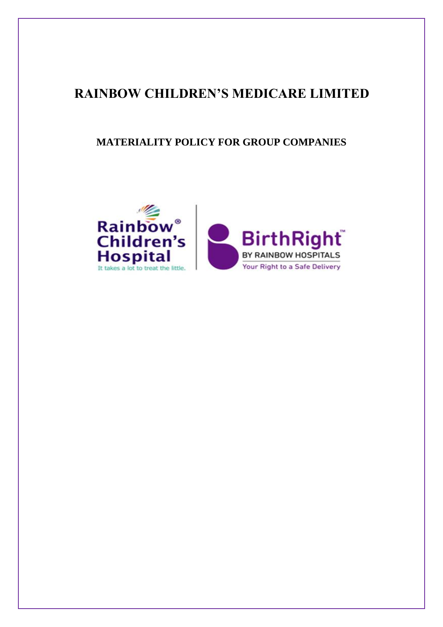# **RAINBOW CHILDREN'S MEDICARE LIMITED**

## **MATERIALITY POLICY FOR GROUP COMPANIES**

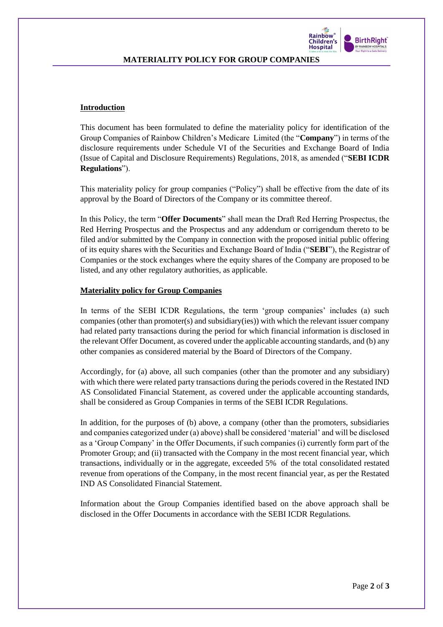

#### **MATERIALITY POLICY FOR GROUP COMPANIES**

#### **Introduction**

This document has been formulated to define the materiality policy for identification of the Group Companies of Rainbow Children's Medicare Limited (the "**Company**") in terms of the disclosure requirements under Schedule VI of the Securities and Exchange Board of India (Issue of Capital and Disclosure Requirements) Regulations, 2018, as amended ("**SEBI ICDR Regulations**").

This materiality policy for group companies ("Policy") shall be effective from the date of its approval by the Board of Directors of the Company or its committee thereof.

In this Policy, the term "**Offer Documents**" shall mean the Draft Red Herring Prospectus, the Red Herring Prospectus and the Prospectus and any addendum or corrigendum thereto to be filed and/or submitted by the Company in connection with the proposed initial public offering of its equity shares with the Securities and Exchange Board of India ("**SEBI**"), the Registrar of Companies or the stock exchanges where the equity shares of the Company are proposed to be listed, and any other regulatory authorities, as applicable.

#### **Materiality policy for Group Companies**

In terms of the SEBI ICDR Regulations, the term 'group companies' includes (a) such companies (other than promoter(s) and subsidiary(ies)) with which the relevant issuer company had related party transactions during the period for which financial information is disclosed in the relevant Offer Document, as covered under the applicable accounting standards, and (b) any other companies as considered material by the Board of Directors of the Company.

Accordingly, for (a) above, all such companies (other than the promoter and any subsidiary) with which there were related party transactions during the periods covered in the Restated IND AS Consolidated Financial Statement, as covered under the applicable accounting standards, shall be considered as Group Companies in terms of the SEBI ICDR Regulations.

In addition, for the purposes of (b) above, a company (other than the promoters, subsidiaries and companies categorized under (a) above) shall be considered 'material' and will be disclosed as a 'Group Company' in the Offer Documents, if such companies (i) currently form part of the Promoter Group; and (ii) transacted with the Company in the most recent financial year, which transactions, individually or in the aggregate, exceeded 5% of the total consolidated restated revenue from operations of the Company, in the most recent financial year, as per the Restated IND AS Consolidated Financial Statement.

Information about the Group Companies identified based on the above approach shall be disclosed in the Offer Documents in accordance with the SEBI ICDR Regulations.